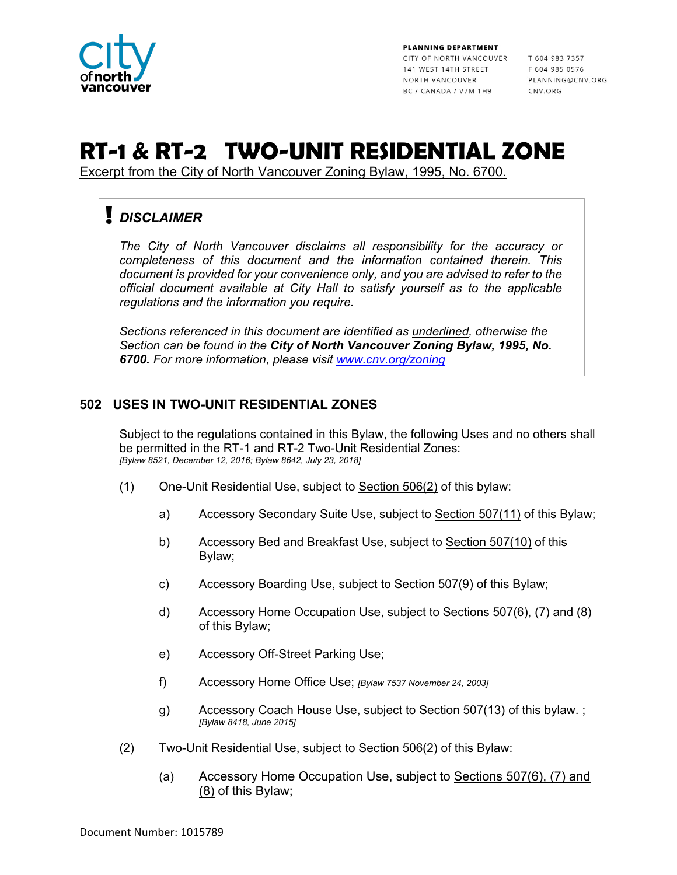

PLANNING DEPARTMENT CITY OF NORTH VANCOUVER T 604 983 7357 141 WEST 14TH STREET NORTH VANCOUVER BC / CANADA / V7M 1H9

F 604 985 0576 PLANNING@CNV.ORG CNV.ORG

# **RT-1 & RT-2 TWO-UNIT RESIDENTIAL ZONE**

Excerpt from the City of North Vancouver Zoning Bylaw, 1995, No. 6700.

# *DISCLAIMER*

*The City of North Vancouver disclaims all responsibility for the accuracy or completeness of this document and the information contained therein. This document is provided for your convenience only, and you are advised to refer to the official document available at City Hall to satisfy yourself as to the applicable regulations and the information you require.*

*Sections referenced in this document are identified as underlined, otherwise the Section can be found in the City of North Vancouver Zoning Bylaw, 1995, No. 6700. For more information, please visit [www.cnv.org/zoning](http://www.cnv.org/zoning)*

#### **502 USES IN TWO-UNIT RESIDENTIAL ZONES**

Subject to the regulations contained in this Bylaw, the following Uses and no others shall be permitted in the RT-1 and RT-2 Two-Unit Residential Zones: *[Bylaw 8521, December 12, 2016; Bylaw 8642, July 23, 2018]*

- (1) One-Unit Residential Use, subject to  $Section 506(2)$  of this bylaw:
	- a) Accessory Secondary Suite Use, subject to Section 507(11) of this Bylaw;
	- b) Accessory Bed and Breakfast Use, subject to Section 507(10) of this Bylaw;
	- c) Accessory Boarding Use, subject to Section 507(9) of this Bylaw;
	- d) Accessory Home Occupation Use, subject to Sections 507(6), (7) and (8) of this Bylaw;
	- e) Accessory Off-Street Parking Use;
	- f) Accessory Home Office Use; *[Bylaw 7537 November 24, 2003]*
	- g) Accessory Coach House Use, subject to Section 507(13) of this bylaw.; *[Bylaw 8418, June 2015]*
- (2) Two-Unit Residential Use, subject to Section 506(2) of this Bylaw:
	- (a) Accessory Home Occupation Use, subject to Sections 507(6), (7) and (8) of this Bylaw;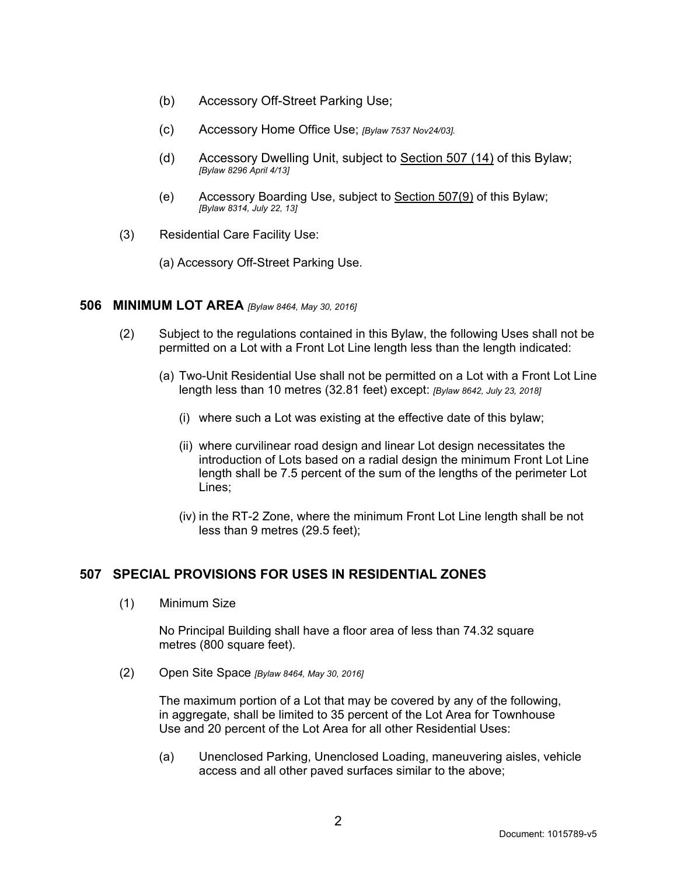- (b) Accessory Off-Street Parking Use;
- (c) Accessory Home Office Use; *[Bylaw 7537 Nov24/03].*
- (d) Accessory Dwelling Unit, subject to Section 507 (14) of this Bylaw; *[Bylaw 8296 April 4/13]*
- (e) Accessory Boarding Use, subject to Section 507(9) of this Bylaw; *[Bylaw 8314, July 22, 13]*
- (3) Residential Care Facility Use:
	- (a) Accessory Off-Street Parking Use.

#### **506 MINIMUM LOT AREA** *[Bylaw 8464, May 30, 2016]*

- (2) Subject to the regulations contained in this Bylaw, the following Uses shall not be permitted on a Lot with a Front Lot Line length less than the length indicated:
	- (a) Two-Unit Residential Use shall not be permitted on a Lot with a Front Lot Line length less than 10 metres (32.81 feet) except: *[Bylaw 8642, July 23, 2018]*
		- (i) where such a Lot was existing at the effective date of this bylaw;
		- (ii) where curvilinear road design and linear Lot design necessitates the introduction of Lots based on a radial design the minimum Front Lot Line length shall be 7.5 percent of the sum of the lengths of the perimeter Lot Lines;
		- (iv) in the RT-2 Zone, where the minimum Front Lot Line length shall be not less than 9 metres (29.5 feet);

# **507 SPECIAL PROVISIONS FOR USES IN RESIDENTIAL ZONES**

(1) Minimum Size

No Principal Building shall have a floor area of less than 74.32 square metres (800 square feet).

(2) Open Site Space *[Bylaw 8464, May 30, 2016]* 

The maximum portion of a Lot that may be covered by any of the following, in aggregate, shall be limited to 35 percent of the Lot Area for Townhouse Use and 20 percent of the Lot Area for all other Residential Uses:

(a) Unenclosed Parking, Unenclosed Loading, maneuvering aisles, vehicle access and all other paved surfaces similar to the above;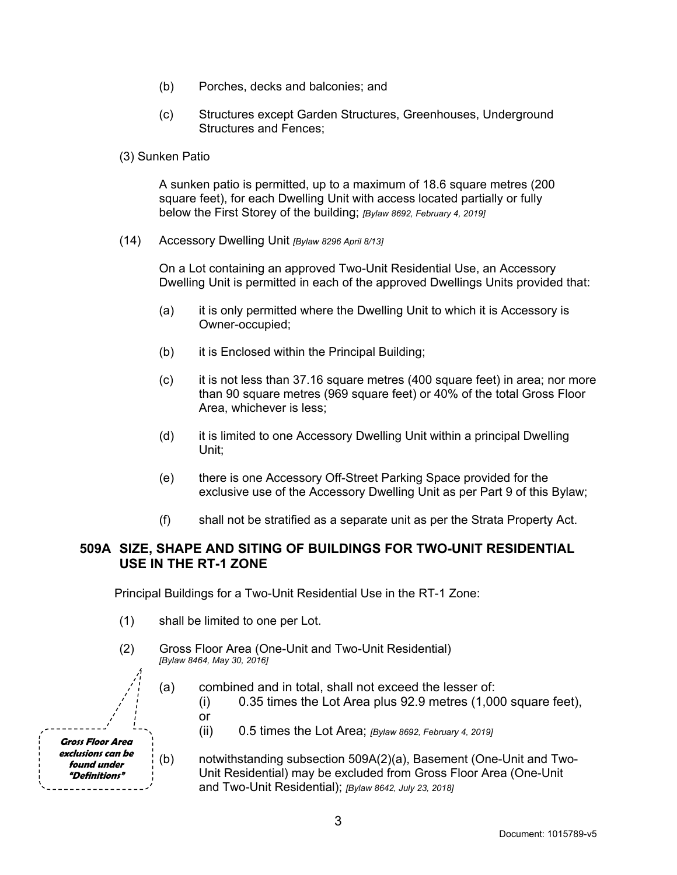- (b) Porches, decks and balconies; and
- (c) Structures except Garden Structures, Greenhouses, Underground Structures and Fences;
- (3) Sunken Patio

A sunken patio is permitted, up to a maximum of 18.6 square metres (200 square feet), for each Dwelling Unit with access located partially or fully below the First Storey of the building; *[Bylaw 8692, February 4, 2019]*

(14) Accessory Dwelling Unit *[Bylaw 8296 April 8/13]*

On a Lot containing an approved Two-Unit Residential Use, an Accessory Dwelling Unit is permitted in each of the approved Dwellings Units provided that:

- (a) it is only permitted where the Dwelling Unit to which it is Accessory is Owner-occupied;
- (b) it is Enclosed within the Principal Building;
- (c) it is not less than 37.16 square metres (400 square feet) in area; nor more than 90 square metres (969 square feet) or 40% of the total Gross Floor Area, whichever is less;
- (d) it is limited to one Accessory Dwelling Unit within a principal Dwelling Unit;
- (e) there is one Accessory Off-Street Parking Space provided for the exclusive use of the Accessory Dwelling Unit as per Part 9 of this Bylaw;
- (f) shall not be stratified as a separate unit as per the Strata Property Act.

#### **509A SIZE, SHAPE AND SITING OF BUILDINGS FOR TWO-UNIT RESIDENTIAL USE IN THE RT-1 ZONE**

Principal Buildings for a Two-Unit Residential Use in the RT-1 Zone:

- (1) shall be limited to one per Lot.
- (2) Gross Floor Area (One-Unit and Two-Unit Residential) *[Bylaw 8464, May 30, 2016]*

(a) combined and in total, shall not exceed the lesser of:

 $(i)$  0.35 times the Lot Area plus 92.9 metres  $(1,000)$  square feet), or

- (ii) 0.5 times the Lot Area; *[Bylaw 8692, February 4, 2019]*
- (b) notwithstanding subsection 509A(2)(a), Basement (One-Unit and Two-Unit Residential) may be excluded from Gross Floor Area (One-Unit and Two-Unit Residential); *[Bylaw 8642, July 23, 2018]*

**Gross Floor Area exclusions can be found under "Definitions"**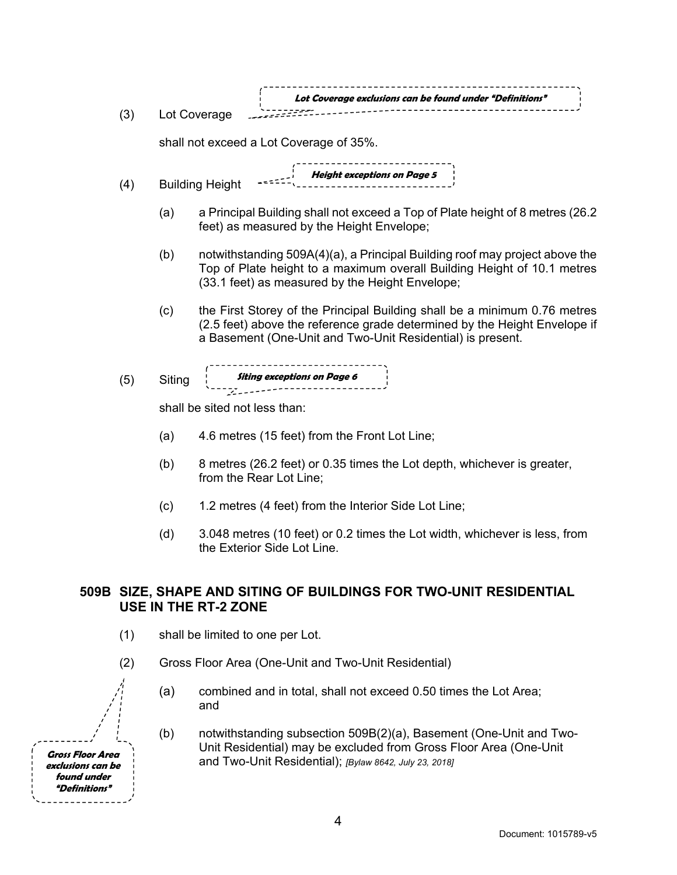| (3)                                                          | Lot Coverage exclusions can be found under "Definitions"<br>Lot Coverage                         |                                                                                                                                                                                                                      |  |  |  |
|--------------------------------------------------------------|--------------------------------------------------------------------------------------------------|----------------------------------------------------------------------------------------------------------------------------------------------------------------------------------------------------------------------|--|--|--|
|                                                              |                                                                                                  | shall not exceed a Lot Coverage of 35%.                                                                                                                                                                              |  |  |  |
| Height exceptions on Page 5<br><b>Building Height</b><br>(4) |                                                                                                  |                                                                                                                                                                                                                      |  |  |  |
|                                                              | (a)                                                                                              | a Principal Building shall not exceed a Top of Plate height of 8 metres (26.2)<br>feet) as measured by the Height Envelope;                                                                                          |  |  |  |
|                                                              | (b)                                                                                              | notwithstanding 509A(4)(a), a Principal Building roof may project above the<br>Top of Plate height to a maximum overall Building Height of 10.1 metres<br>(33.1 feet) as measured by the Height Envelope;            |  |  |  |
|                                                              | (c)                                                                                              | the First Storey of the Principal Building shall be a minimum 0.76 metres<br>(2.5 feet) above the reference grade determined by the Height Envelope if<br>a Basement (One-Unit and Two-Unit Residential) is present. |  |  |  |
| (5)                                                          | Siting                                                                                           |                                                                                                                                                                                                                      |  |  |  |
| shall be sited not less than:                                |                                                                                                  |                                                                                                                                                                                                                      |  |  |  |
|                                                              | (a)                                                                                              | 4.6 metres (15 feet) from the Front Lot Line;                                                                                                                                                                        |  |  |  |
|                                                              | (b)                                                                                              | 8 metres (26.2 feet) or 0.35 times the Lot depth, whichever is greater,<br>from the Rear Lot Line;                                                                                                                   |  |  |  |
|                                                              | (c)                                                                                              | 1.2 metres (4 feet) from the Interior Side Lot Line;                                                                                                                                                                 |  |  |  |
|                                                              | (d)                                                                                              | 3.048 metres (10 feet) or 0.2 times the Lot width, whichever is less, from<br>the Exterior Side Lot Line.                                                                                                            |  |  |  |
|                                                              | 509B SIZE, SHAPE AND SITING OF BUILDINGS FOR TWO-UNIT RESIDENTIAL<br><b>USE IN THE RT-2 ZONE</b> |                                                                                                                                                                                                                      |  |  |  |
| (1)                                                          |                                                                                                  | shall be limited to one per Lot.                                                                                                                                                                                     |  |  |  |

- (2) Gross Floor Area (One-Unit and Two-Unit Residential)
	- (a) combined and in total, shall not exceed 0.50 times the Lot Area; and
	- (b) notwithstanding subsection 509B(2)(a), Basement (One-Unit and Two-Unit Residential) may be excluded from Gross Floor Area (One-Unit and Two-Unit Residential); *[Bylaw 8642, July 23, 2018]*

**Gross Floor Area exclusions can be found under "Definitions"**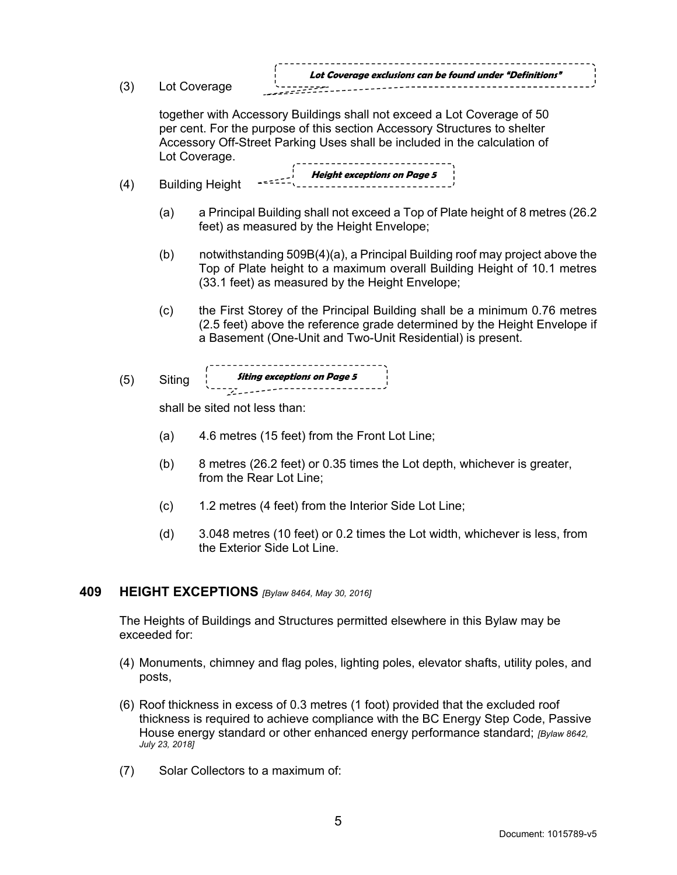| (3) |                                                                      | Lot Coverage            | Lot Coverage exclusions can be found under "Definitions"                                                                                                                                                                          |  |  |  |
|-----|----------------------------------------------------------------------|-------------------------|-----------------------------------------------------------------------------------------------------------------------------------------------------------------------------------------------------------------------------------|--|--|--|
|     |                                                                      | Lot Coverage.           | together with Accessory Buildings shall not exceed a Lot Coverage of 50<br>per cent. For the purpose of this section Accessory Structures to shelter<br>Accessory Off-Street Parking Uses shall be included in the calculation of |  |  |  |
| (4) | $\overline{z}$ Height exceptions on Page 5<br><b>Building Height</b> |                         |                                                                                                                                                                                                                                   |  |  |  |
|     | (a)                                                                  |                         | a Principal Building shall not exceed a Top of Plate height of 8 metres (26.2)<br>feet) as measured by the Height Envelope;                                                                                                       |  |  |  |
|     | (b)                                                                  |                         | notwithstanding 509B(4)(a), a Principal Building roof may project above the<br>Top of Plate height to a maximum overall Building Height of 10.1 metres<br>(33.1 feet) as measured by the Height Envelope;                         |  |  |  |
|     | (c)                                                                  |                         | the First Storey of the Principal Building shall be a minimum 0.76 metres<br>(2.5 feet) above the reference grade determined by the Height Envelope if<br>a Basement (One-Unit and Two-Unit Residential) is present.              |  |  |  |
| (5) | Siting                                                               |                         | <b>Siting exceptions on Page 5</b><br>-----------------------------------                                                                                                                                                         |  |  |  |
|     | shall be sited not less than:                                        |                         |                                                                                                                                                                                                                                   |  |  |  |
|     | (a)                                                                  |                         | 4.6 metres (15 feet) from the Front Lot Line;                                                                                                                                                                                     |  |  |  |
|     | (b)                                                                  | from the Rear Lot Line; | 8 metres (26.2 feet) or 0.35 times the Lot depth, whichever is greater,                                                                                                                                                           |  |  |  |
|     | (c)                                                                  |                         | 1.2 metres (4 feet) from the Interior Side Lot Line;                                                                                                                                                                              |  |  |  |

(d) 3.048 metres (10 feet) or 0.2 times the Lot width, whichever is less, from the Exterior Side Lot Line.

#### **409 HEIGHT EXCEPTIONS** *[Bylaw 8464, May 30, 2016]*

The Heights of Buildings and Structures permitted elsewhere in this Bylaw may be exceeded for:

- (4) Monuments, chimney and flag poles, lighting poles, elevator shafts, utility poles, and posts,
- (6) Roof thickness in excess of 0.3 metres (1 foot) provided that the excluded roof thickness is required to achieve compliance with the BC Energy Step Code, Passive House energy standard or other enhanced energy performance standard; *[Bylaw 8642, July 23, 2018]*
- (7) Solar Collectors to a maximum of: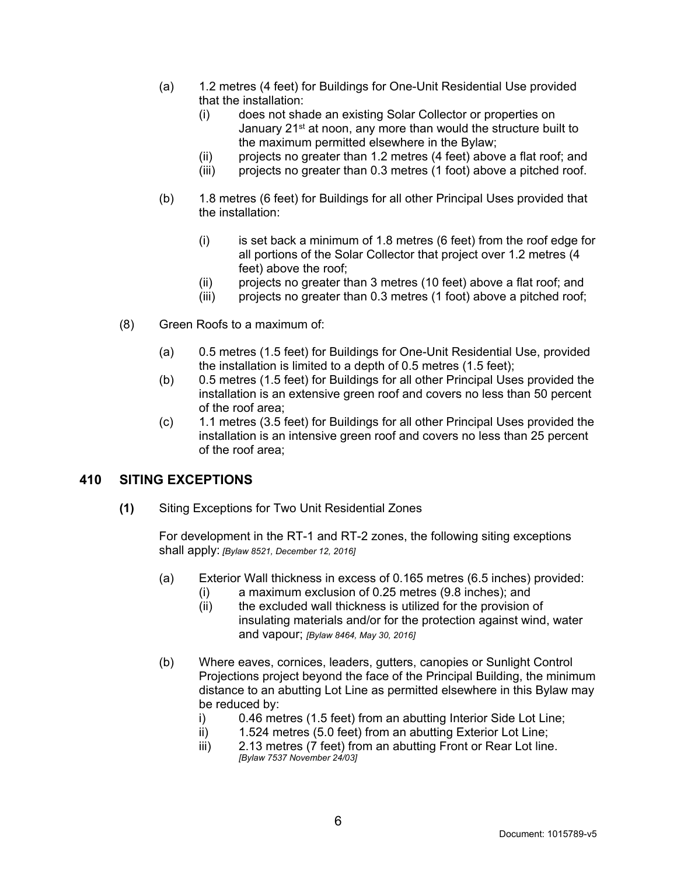- (a) 1.2 metres (4 feet) for Buildings for One-Unit Residential Use provided that the installation:
	- (i) does not shade an existing Solar Collector or properties on January 21<sup>st</sup> at noon, any more than would the structure built to the maximum permitted elsewhere in the Bylaw;
	- (ii) projects no greater than 1.2 metres (4 feet) above a flat roof; and
	- (iii) projects no greater than 0.3 metres (1 foot) above a pitched roof.
- (b) 1.8 metres (6 feet) for Buildings for all other Principal Uses provided that the installation:
	- $(i)$  is set back a minimum of 1.8 metres (6 feet) from the roof edge for all portions of the Solar Collector that project over 1.2 metres (4 feet) above the roof;
	- (ii) projects no greater than 3 metres (10 feet) above a flat roof; and
	- (iii) projects no greater than 0.3 metres (1 foot) above a pitched roof;
- (8) Green Roofs to a maximum of:
	- (a) 0.5 metres (1.5 feet) for Buildings for One-Unit Residential Use, provided the installation is limited to a depth of 0.5 metres (1.5 feet);
	- (b) 0.5 metres (1.5 feet) for Buildings for all other Principal Uses provided the installation is an extensive green roof and covers no less than 50 percent of the roof area;
	- (c) 1.1 metres (3.5 feet) for Buildings for all other Principal Uses provided the installation is an intensive green roof and covers no less than 25 percent of the roof area;

# **410 SITING EXCEPTIONS**

**(1)** Siting Exceptions for Two Unit Residential Zones

For development in the RT-1 and RT-2 zones, the following siting exceptions shall apply: *[Bylaw 8521, December 12, 2016]*

- (a) Exterior Wall thickness in excess of 0.165 metres (6.5 inches) provided:
	- (i) a maximum exclusion of 0.25 metres (9.8 inches); and
		- (ii) the excluded wall thickness is utilized for the provision of insulating materials and/or for the protection against wind, water and vapour; *[Bylaw 8464, May 30, 2016]*
- (b) Where eaves, cornices, leaders, gutters, canopies or Sunlight Control Projections project beyond the face of the Principal Building, the minimum distance to an abutting Lot Line as permitted elsewhere in this Bylaw may be reduced by:
	- i) 0.46 metres (1.5 feet) from an abutting Interior Side Lot Line;
	- ii) 1.524 metres (5.0 feet) from an abutting Exterior Lot Line;
	- iii) 2.13 metres (7 feet) from an abutting Front or Rear Lot line. *[Bylaw 7537 November 24/03]*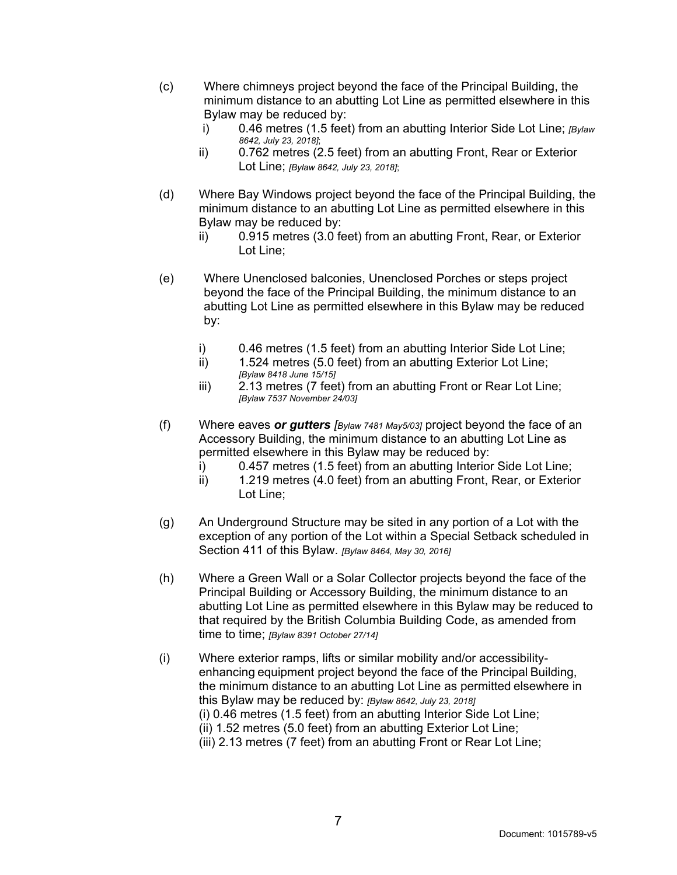- (c) Where chimneys project beyond the face of the Principal Building, the minimum distance to an abutting Lot Line as permitted elsewhere in this Bylaw may be reduced by:
	- i) 0.46 metres (1.5 feet) from an abutting Interior Side Lot Line; *[Bylaw 8642, July 23, 2018]*;
	- ii) 0.762 metres (2.5 feet) from an abutting Front, Rear or Exterior Lot Line; *[Bylaw 8642, July 23, 2018]*;
- (d) Where Bay Windows project beyond the face of the Principal Building, the minimum distance to an abutting Lot Line as permitted elsewhere in this Bylaw may be reduced by:
	- ii) 0.915 metres (3.0 feet) from an abutting Front, Rear, or Exterior Lot Line;
- (e) Where Unenclosed balconies, Unenclosed Porches or steps project beyond the face of the Principal Building, the minimum distance to an abutting Lot Line as permitted elsewhere in this Bylaw may be reduced by:
	- i) 0.46 metres (1.5 feet) from an abutting Interior Side Lot Line;
	- ii) 1.524 metres (5.0 feet) from an abutting Exterior Lot Line; *[Bylaw 8418 June 15/15]*
	- iii) 2.13 metres (7 feet) from an abutting Front or Rear Lot Line; *[Bylaw 7537 November 24/03]*
- (f) Where eaves *or gutters [Bylaw 7481 May5/03]* project beyond the face of an Accessory Building, the minimum distance to an abutting Lot Line as permitted elsewhere in this Bylaw may be reduced by:
	- i) 0.457 metres (1.5 feet) from an abutting Interior Side Lot Line;
	- ii) 1.219 metres (4.0 feet) from an abutting Front, Rear, or Exterior Lot Line;
- (g) An Underground Structure may be sited in any portion of a Lot with the exception of any portion of the Lot within a Special Setback scheduled in Section 411 of this Bylaw. *[Bylaw 8464, May 30, 2016]*
- (h) Where a Green Wall or a Solar Collector projects beyond the face of the Principal Building or Accessory Building, the minimum distance to an abutting Lot Line as permitted elsewhere in this Bylaw may be reduced to that required by the British Columbia Building Code, as amended from time to time; *[Bylaw 8391 October 27/14]*
- (i) Where exterior ramps, lifts or similar mobility and/or accessibilityenhancing equipment project beyond the face of the Principal Building, the minimum distance to an abutting Lot Line as permitted elsewhere in this Bylaw may be reduced by: *[Bylaw 8642, July 23, 2018]* (i) 0.46 metres (1.5 feet) from an abutting Interior Side Lot Line;
	- (ii) 1.52 metres (5.0 feet) from an abutting Exterior Lot Line;
	- (iii) 2.13 metres (7 feet) from an abutting Front or Rear Lot Line;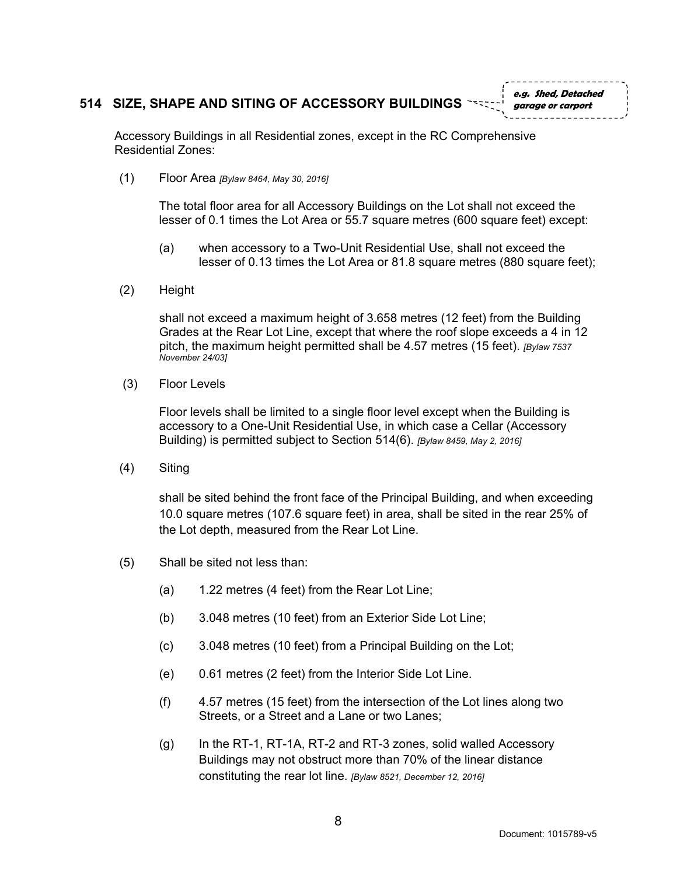#### **514 SIZE, SHAPE AND SITING OF ACCESSORY BUILDINGS**

**e.g. Shed, Detached garage or carport**

Accessory Buildings in all Residential zones, except in the RC Comprehensive Residential Zones:

(1) Floor Area *[Bylaw 8464, May 30, 2016]*

The total floor area for all Accessory Buildings on the Lot shall not exceed the lesser of 0.1 times the Lot Area or 55.7 square metres (600 square feet) except:

- (a) when accessory to a Two-Unit Residential Use, shall not exceed the lesser of 0.13 times the Lot Area or 81.8 square metres (880 square feet);
- (2) Height

shall not exceed a maximum height of 3.658 metres (12 feet) from the Building Grades at the Rear Lot Line, except that where the roof slope exceeds a 4 in 12 pitch, the maximum height permitted shall be 4.57 metres (15 feet). *[Bylaw 7537 November 24/03]* 

(3) Floor Levels

Floor levels shall be limited to a single floor level except when the Building is accessory to a One-Unit Residential Use, in which case a Cellar (Accessory Building) is permitted subject to Section 514(6). *[Bylaw 8459, May 2, 2016]*

(4) Siting

shall be sited behind the front face of the Principal Building, and when exceeding 10.0 square metres (107.6 square feet) in area, shall be sited in the rear 25% of the Lot depth, measured from the Rear Lot Line.

- (5) Shall be sited not less than:
	- (a) 1.22 metres (4 feet) from the Rear Lot Line;
	- (b) 3.048 metres (10 feet) from an Exterior Side Lot Line;
	- (c) 3.048 metres (10 feet) from a Principal Building on the Lot;
	- (e) 0.61 metres (2 feet) from the Interior Side Lot Line.
	- (f) 4.57 metres (15 feet) from the intersection of the Lot lines along two Streets, or a Street and a Lane or two Lanes;
	- (g) In the RT-1, RT-1A, RT-2 and RT-3 zones, solid walled Accessory Buildings may not obstruct more than 70% of the linear distance constituting the rear lot line. *[Bylaw 8521, December 12, 2016]*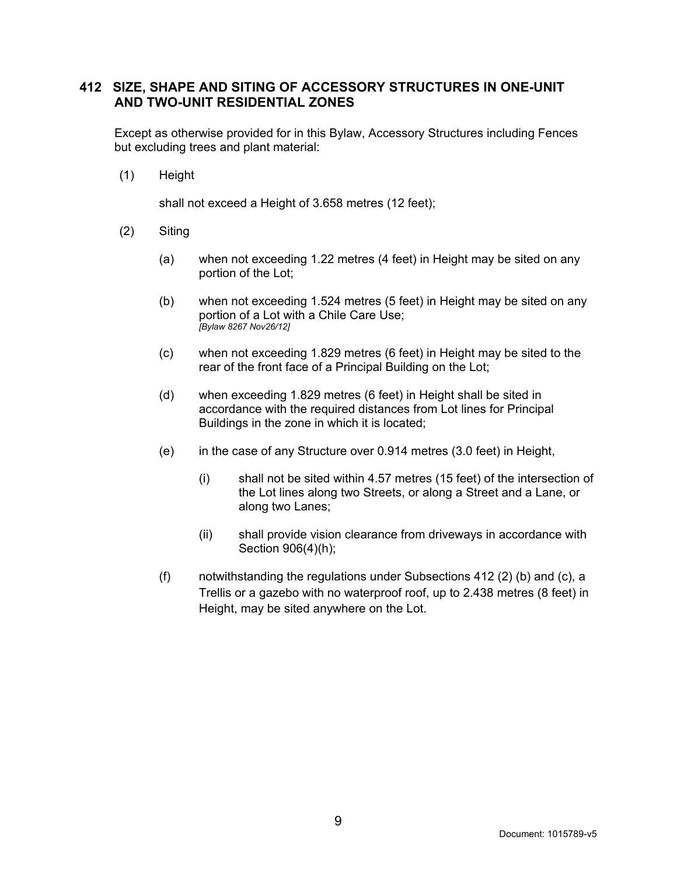#### **412 SIZE, SHAPE AND SITING OF ACCESSORY STRUCTURES IN ONE-UNIT AND TWO-UNIT RESIDENTIAL ZONES**

Except as otherwise provided for in this Bylaw, Accessory Structures including Fences but excluding trees and plant material:

(1) Height

shall not exceed a Height of 3.658 metres (12 feet);

- (2) Siting
	- (a) when not exceeding 1.22 metres (4 feet) in Height may be sited on any portion of the Lot;
	- (b) when not exceeding 1.524 metres (5 feet) in Height may be sited on any portion of a Lot with a Chile Care Use; *[Bylaw 8267 Nov26/12]*
	- (c) when not exceeding 1.829 metres (6 feet) in Height may be sited to the rear of the front face of a Principal Building on the Lot;
	- (d) when exceeding 1.829 metres (6 feet) in Height shall be sited in accordance with the required distances from Lot lines for Principal Buildings in the zone in which it is located;
	- (e) in the case of any Structure over 0.914 metres (3.0 feet) in Height,
		- (i) shall not be sited within 4.57 metres (15 feet) of the intersection of the Lot lines along two Streets, or along a Street and a Lane, or along two Lanes;
		- (ii) shall provide vision clearance from driveways in accordance with Section 906(4)(h);
	- (f) notwithstanding the regulations under Subsections 412 (2) (b) and (c), a Trellis or a gazebo with no waterproof roof, up to 2.438 metres (8 feet) in Height, may be sited anywhere on the Lot.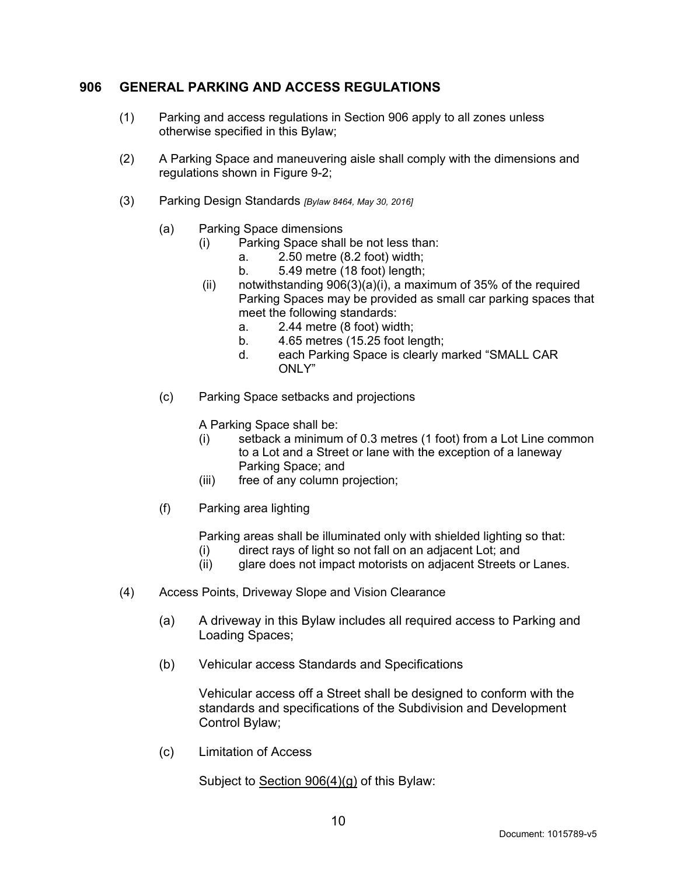# **906 GENERAL PARKING AND ACCESS REGULATIONS**

- (1) Parking and access regulations in Section 906 apply to all zones unless otherwise specified in this Bylaw;
- (2) A Parking Space and maneuvering aisle shall comply with the dimensions and regulations shown in Figure 9-2;
- (3) Parking Design Standards *[Bylaw 8464, May 30, 2016]*
	- (a) Parking Space dimensions
		- (i) Parking Space shall be not less than:
			- a. 2.50 metre (8.2 foot) width;
			- b. 5.49 metre (18 foot) length;
		- (ii) notwithstanding  $906(3)(a)(i)$ , a maximum of 35% of the required Parking Spaces may be provided as small car parking spaces that meet the following standards:
			- a. 2.44 metre (8 foot) width;
			- b. 4.65 metres (15.25 foot length;
			- d. each Parking Space is clearly marked "SMALL CAR ONLY"
	- (c) Parking Space setbacks and projections

A Parking Space shall be:

- (i) setback a minimum of 0.3 metres (1 foot) from a Lot Line common to a Lot and a Street or lane with the exception of a laneway Parking Space; and
- (iii) free of any column projection;
- (f) Parking area lighting

Parking areas shall be illuminated only with shielded lighting so that:

- (i) direct rays of light so not fall on an adjacent Lot; and
- (ii) glare does not impact motorists on adjacent Streets or Lanes.
- (4) Access Points, Driveway Slope and Vision Clearance
	- (a) A driveway in this Bylaw includes all required access to Parking and Loading Spaces;
	- (b) Vehicular access Standards and Specifications

Vehicular access off a Street shall be designed to conform with the standards and specifications of the Subdivision and Development Control Bylaw;

(c) Limitation of Access

Subject to Section 906(4)(g) of this Bylaw: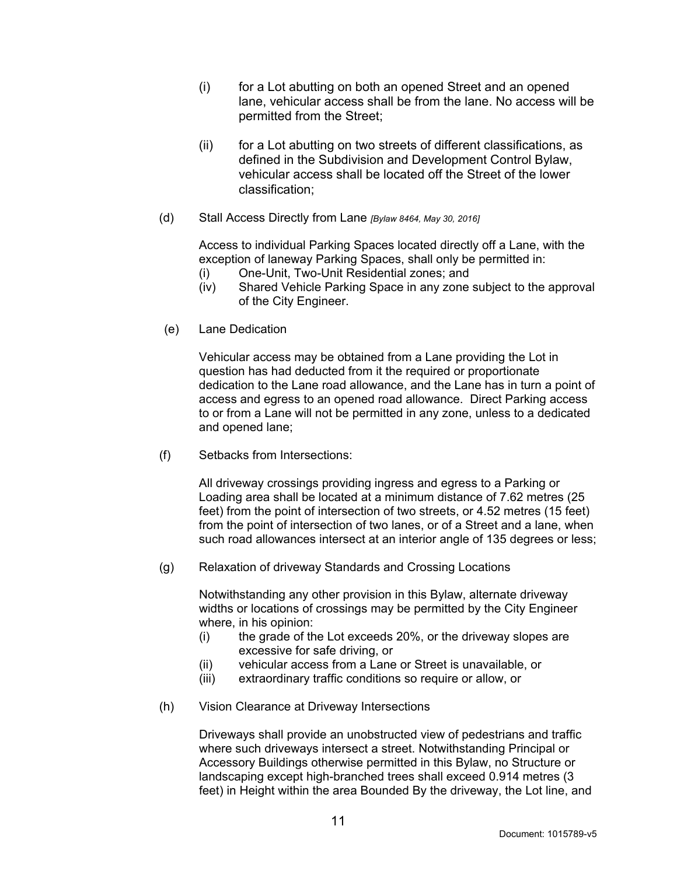- (i) for a Lot abutting on both an opened Street and an opened lane, vehicular access shall be from the lane. No access will be permitted from the Street;
- (ii) for a Lot abutting on two streets of different classifications, as defined in the Subdivision and Development Control Bylaw, vehicular access shall be located off the Street of the lower classification;
- (d) Stall Access Directly from Lane *[Bylaw 8464, May 30, 2016]*

Access to individual Parking Spaces located directly off a Lane, with the exception of laneway Parking Spaces, shall only be permitted in:

- (i) One-Unit, Two-Unit Residential zones; and
- (iv) Shared Vehicle Parking Space in any zone subject to the approval of the City Engineer.
- (e) Lane Dedication

Vehicular access may be obtained from a Lane providing the Lot in question has had deducted from it the required or proportionate dedication to the Lane road allowance, and the Lane has in turn a point of access and egress to an opened road allowance. Direct Parking access to or from a Lane will not be permitted in any zone, unless to a dedicated and opened lane;

(f) Setbacks from Intersections:

All driveway crossings providing ingress and egress to a Parking or Loading area shall be located at a minimum distance of 7.62 metres (25 feet) from the point of intersection of two streets, or 4.52 metres (15 feet) from the point of intersection of two lanes, or of a Street and a lane, when such road allowances intersect at an interior angle of 135 degrees or less;

(g) Relaxation of driveway Standards and Crossing Locations

Notwithstanding any other provision in this Bylaw, alternate driveway widths or locations of crossings may be permitted by the City Engineer where, in his opinion:

- (i) the grade of the Lot exceeds 20%, or the driveway slopes are excessive for safe driving, or
- (ii) vehicular access from a Lane or Street is unavailable, or
- (iii) extraordinary traffic conditions so require or allow, or
- (h) Vision Clearance at Driveway Intersections

Driveways shall provide an unobstructed view of pedestrians and traffic where such driveways intersect a street. Notwithstanding Principal or Accessory Buildings otherwise permitted in this Bylaw, no Structure or landscaping except high-branched trees shall exceed 0.914 metres (3 feet) in Height within the area Bounded By the driveway, the Lot line, and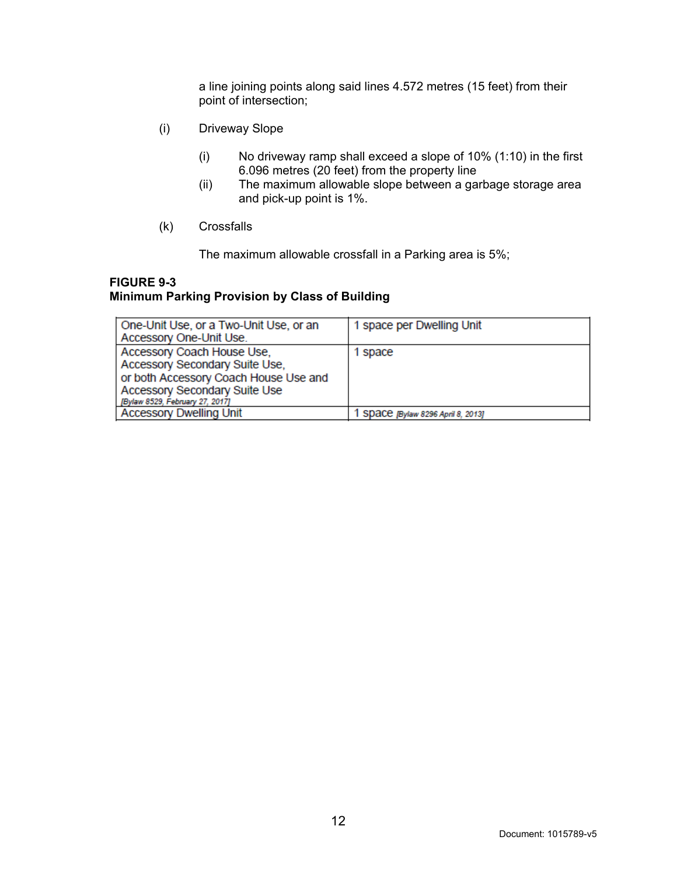a line joining points along said lines 4.572 metres (15 feet) from their point of intersection;

- (i) Driveway Slope
	- (i) No driveway ramp shall exceed a slope of 10% (1:10) in the first 6.096 metres (20 feet) from the property line
	- (ii) The maximum allowable slope between a garbage storage area and pick-up point is 1%.
- (k) Crossfalls

The maximum allowable crossfall in a Parking area is 5%;

#### **FIGURE 9-3**

# **Minimum Parking Provision by Class of Building**

| One-Unit Use, or a Two-Unit Use, or an<br>Accessory One-Unit Use.                                                                                                                | 1 space per Dwelling Unit        |
|----------------------------------------------------------------------------------------------------------------------------------------------------------------------------------|----------------------------------|
| Accessory Coach House Use,<br>Accessory Secondary Suite Use,<br>or both Accessory Coach House Use and<br><b>Accessory Secondary Suite Use</b><br>[Bylaw 8529, February 27, 2017] | 1 space                          |
| <b>Accessory Dwelling Unit</b>                                                                                                                                                   | SDaCC /Bylaw 8296 April 8, 2013] |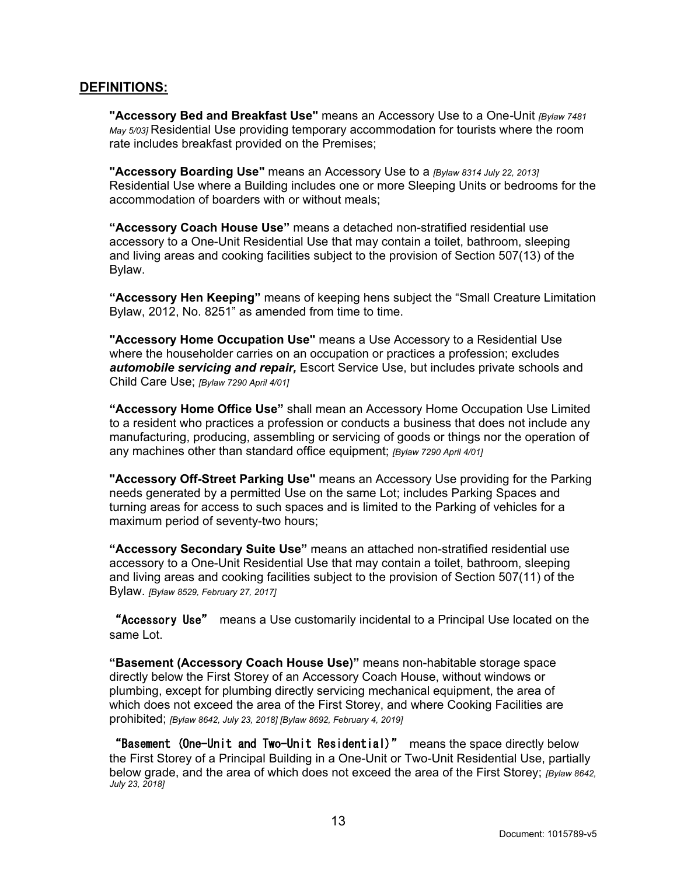#### **DEFINITIONS:**

**"Accessory Bed and Breakfast Use"** means an Accessory Use to a One*-*Unit *[Bylaw 7481 May 5/03]* Residential Use providing temporary accommodation for tourists where the room rate includes breakfast provided on the Premises;

**"Accessory Boarding Use"** means an Accessory Use to a *[Bylaw 8314 July 22, 2013]* Residential Use where a Building includes one or more Sleeping Units or bedrooms for the accommodation of boarders with or without meals;

**"Accessory Coach House Use"** means a detached non-stratified residential use accessory to a One-Unit Residential Use that may contain a toilet, bathroom, sleeping and living areas and cooking facilities subject to the provision of Section 507(13) of the Bylaw.

**"Accessory Hen Keeping"** means of keeping hens subject the "Small Creature Limitation Bylaw, 2012, No. 8251" as amended from time to time.

**"Accessory Home Occupation Use"** means a Use Accessory to a Residential Use where the householder carries on an occupation or practices a profession; excludes *automobile servicing and repair,* Escort Service Use, but includes private schools and Child Care Use; *[Bylaw 7290 April 4/01]*

**"Accessory Home Office Use"** shall mean an Accessory Home Occupation Use Limited to a resident who practices a profession or conducts a business that does not include any manufacturing, producing, assembling or servicing of goods or things nor the operation of any machines other than standard office equipment; *[Bylaw 7290 April 4/01]*

**"Accessory Off-Street Parking Use"** means an Accessory Use providing for the Parking needs generated by a permitted Use on the same Lot; includes Parking Spaces and turning areas for access to such spaces and is limited to the Parking of vehicles for a maximum period of seventy-two hours;

**"Accessory Secondary Suite Use"** means an attached non-stratified residential use accessory to a One-Unit Residential Use that may contain a toilet, bathroom, sleeping and living areas and cooking facilities subject to the provision of Section 507(11) of the Bylaw. *[Bylaw 8529, February 27, 2017]*

"Accessory Use" means a Use customarily incidental to a Principal Use located on the same Lot.

**"Basement (Accessory Coach House Use)"** means non-habitable storage space directly below the First Storey of an Accessory Coach House, without windows or plumbing, except for plumbing directly servicing mechanical equipment, the area of which does not exceed the area of the First Storey, and where Cooking Facilities are prohibited; *[Bylaw 8642, July 23, 2018] [Bylaw 8692, February 4, 2019]*

"Basement (One-Unit and Two-Unit Residential)" means the space directly below the First Storey of a Principal Building in a One-Unit or Two-Unit Residential Use, partially below grade, and the area of which does not exceed the area of the First Storey; *[Bylaw 8642, July 23, 2018]*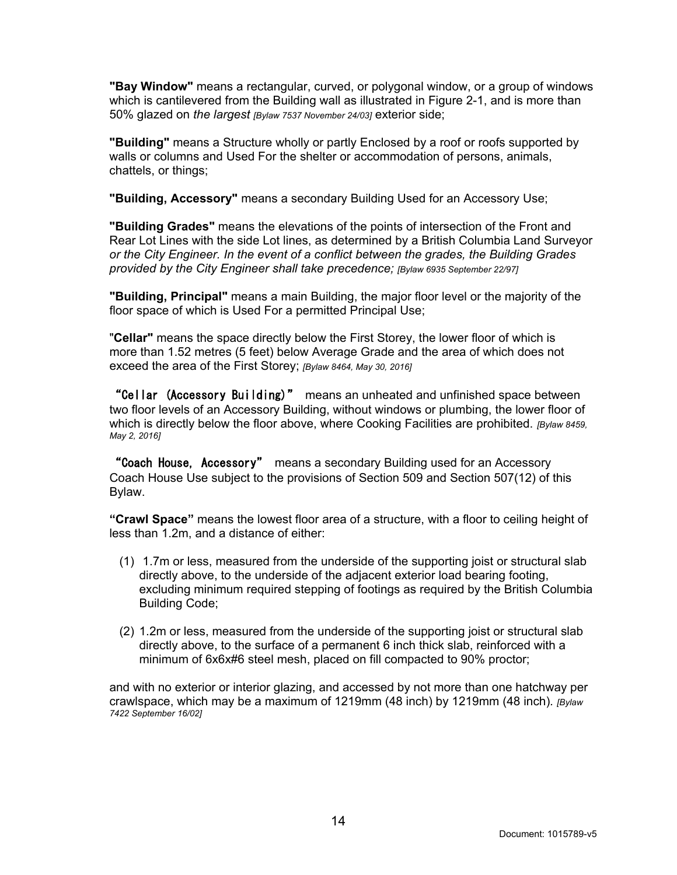**"Bay Window"** means a rectangular, curved, or polygonal window, or a group of windows which is cantilevered from the Building wall as illustrated in Figure 2-1, and is more than 50% glazed on *the largest [Bylaw 7537 November 24/03]* exterior side;

**"Building"** means a Structure wholly or partly Enclosed by a roof or roofs supported by walls or columns and Used For the shelter or accommodation of persons, animals, chattels, or things;

**"Building, Accessory"** means a secondary Building Used for an Accessory Use;

**"Building Grades"** means the elevations of the points of intersection of the Front and Rear Lot Lines with the side Lot lines, as determined by a British Columbia Land Surveyor *or the City Engineer. In the event of a conflict between the grades, the Building Grades provided by the City Engineer shall take precedence; [Bylaw 6935 September 22/97]*

**"Building, Principal"** means a main Building, the major floor level or the majority of the floor space of which is Used For a permitted Principal Use;

"**Cellar"** means the space directly below the First Storey, the lower floor of which is more than 1.52 metres (5 feet) below Average Grade and the area of which does not exceed the area of the First Storey; *[Bylaw 8464, May 30, 2016]*

"Cellar (Accessory Building)" means an unheated and unfinished space between two floor levels of an Accessory Building, without windows or plumbing, the lower floor of which is directly below the floor above, where Cooking Facilities are prohibited. *[Bylaw 8459, May 2, 2016]*

"Coach House, Accessory" means a secondary Building used for an Accessory Coach House Use subject to the provisions of Section 509 and Section 507(12) of this Bylaw.

**"Crawl Space"** means the lowest floor area of a structure, with a floor to ceiling height of less than 1.2m, and a distance of either:

- (1) 1.7m or less, measured from the underside of the supporting joist or structural slab directly above, to the underside of the adjacent exterior load bearing footing, excluding minimum required stepping of footings as required by the British Columbia Building Code;
- (2) 1.2m or less, measured from the underside of the supporting joist or structural slab directly above, to the surface of a permanent 6 inch thick slab, reinforced with a minimum of 6x6x#6 steel mesh, placed on fill compacted to 90% proctor;

and with no exterior or interior glazing, and accessed by not more than one hatchway per crawlspace, which may be a maximum of 1219mm (48 inch) by 1219mm (48 inch)*. [Bylaw 7422 September 16/02]*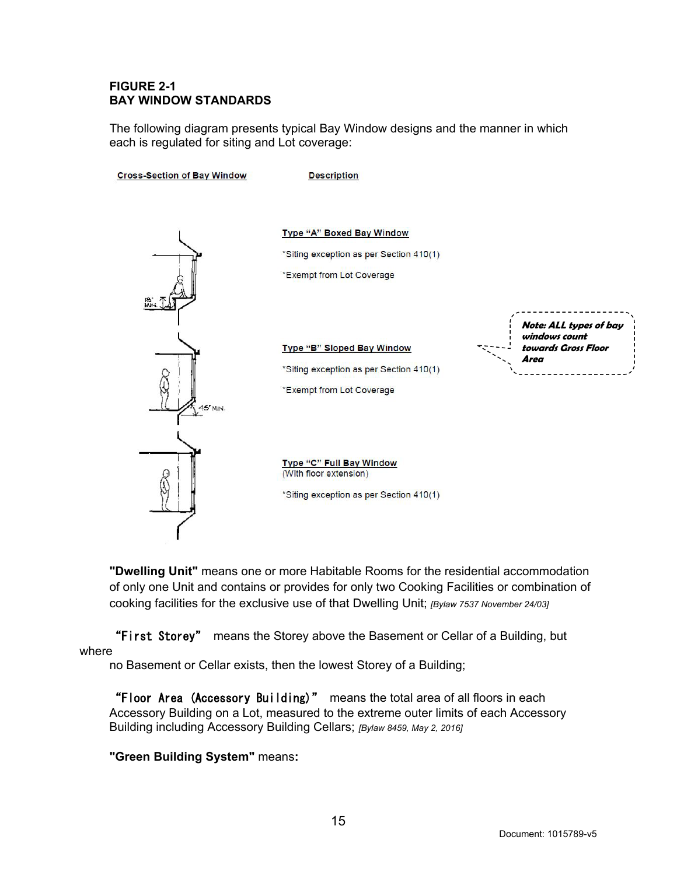#### **FIGURE 2-1 BAY WINDOW STANDARDS**

The following diagram presents typical Bay Window designs and the manner in which each is regulated for siting and Lot coverage:



**"Dwelling Unit"** means one or more Habitable Rooms for the residential accommodation of only one Unit and contains or provides for only two Cooking Facilities or combination of cooking facilities for the exclusive use of that Dwelling Unit; *[Bylaw 7537 November 24/03]*

"First Storey" means the Storey above the Basement or Cellar of a Building, but where

no Basement or Cellar exists, then the lowest Storey of a Building;

"Floor Area (Accessory Building)" means the total area of all floors in each Accessory Building on a Lot, measured to the extreme outer limits of each Accessory Building including Accessory Building Cellars; *[Bylaw 8459, May 2, 2016]*

#### **"Green Building System"** means**:**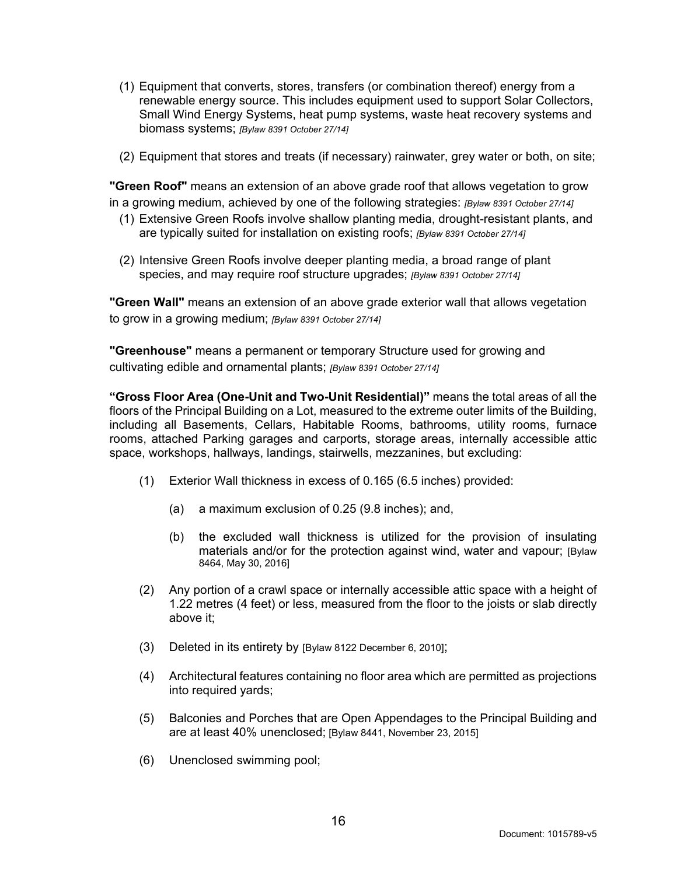- (1) Equipment that converts, stores, transfers (or combination thereof) energy from a renewable energy source. This includes equipment used to support Solar Collectors, Small Wind Energy Systems, heat pump systems, waste heat recovery systems and biomass systems; *[Bylaw 8391 October 27/14]*
- (2) Equipment that stores and treats (if necessary) rainwater, grey water or both, on site;

**"Green Roof"** means an extension of an above grade roof that allows vegetation to grow in a growing medium, achieved by one of the following strategies: *[Bylaw 8391 October 27/14]*

- (1) Extensive Green Roofs involve shallow planting media, drought-resistant plants, and are typically suited for installation on existing roofs; *[Bylaw 8391 October 27/14]*
- (2) Intensive Green Roofs involve deeper planting media, a broad range of plant species, and may require roof structure upgrades; *[Bylaw 8391 October 27/14]*

**"Green Wall"** means an extension of an above grade exterior wall that allows vegetation to grow in a growing medium; *[Bylaw 8391 October 27/14]*

**"Greenhouse"** means a permanent or temporary Structure used for growing and cultivating edible and ornamental plants; *[Bylaw 8391 October 27/14]*

**"Gross Floor Area (One-Unit and Two-Unit Residential)"** means the total areas of all the floors of the Principal Building on a Lot, measured to the extreme outer limits of the Building, including all Basements, Cellars, Habitable Rooms, bathrooms, utility rooms, furnace rooms, attached Parking garages and carports, storage areas, internally accessible attic space, workshops, hallways, landings, stairwells, mezzanines, but excluding:

- (1) Exterior Wall thickness in excess of 0.165 (6.5 inches) provided:
	- (a) a maximum exclusion of 0.25 (9.8 inches); and,
	- (b) the excluded wall thickness is utilized for the provision of insulating materials and/or for the protection against wind, water and vapour; [Bylaw 8464, May 30, 2016]
- (2) Any portion of a crawl space or internally accessible attic space with a height of 1.22 metres (4 feet) or less, measured from the floor to the joists or slab directly above it;
- (3) Deleted in its entirety by [Bylaw 8122 December 6, 2010];
- (4) Architectural features containing no floor area which are permitted as projections into required yards;
- (5) Balconies and Porches that are Open Appendages to the Principal Building and are at least 40% unenclosed; [Bylaw 8441, November 23, 2015]
- (6) Unenclosed swimming pool;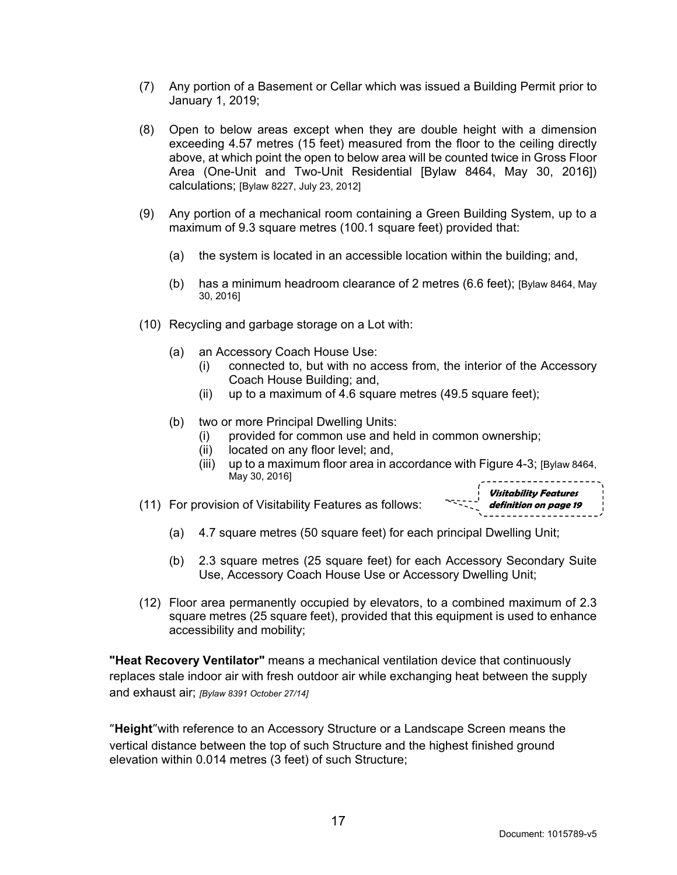- (7) Any portion of a Basement or Cellar which was issued a Building Permit prior to January 1, 2019;
- (8) Open to below areas except when they are double height with a dimension exceeding 4.57 metres (15 feet) measured from the floor to the ceiling directly above, at which point the open to below area will be counted twice in Gross Floor Area (One-Unit and Two-Unit Residential [Bylaw 8464, May 30, 2016]) calculations; [Bylaw 8227, July 23, 2012]
- (9) Any portion of a mechanical room containing a Green Building System, up to a maximum of 9.3 square metres (100.1 square feet) provided that:
	- (a) the system is located in an accessible location within the building; and,
	- (b) has a minimum headroom clearance of 2 metres (6.6 feet); [Bylaw 8464, May 30, 2016]
- (10) Recycling and garbage storage on a Lot with:
	- (a) an Accessory Coach House Use:
		- (i) connected to, but with no access from, the interior of the Accessory Coach House Building; and,
		- (ii) up to a maximum of 4.6 square metres (49.5 square feet);
	- (b) two or more Principal Dwelling Units:
		- (i) provided for common use and held in common ownership;
		- (ii) located on any floor level; and,
		- (iii) up to a maximum floor area in accordance with Figure 4-3; [Bylaw 8464, May 30, 2016]
- (11) For provision of Visitability Features as follows:

**Visitability Features definition on page 19**

- (a) 4.7 square metres (50 square feet) for each principal Dwelling Unit;
- (b) 2.3 square metres (25 square feet) for each Accessory Secondary Suite Use, Accessory Coach House Use or Accessory Dwelling Unit;
- (12) Floor area permanently occupied by elevators, to a combined maximum of 2.3 square metres (25 square feet), provided that this equipment is used to enhance accessibility and mobility;

**"Heat Recovery Ventilator"** means a mechanical ventilation device that continuously replaces stale indoor air with fresh outdoor air while exchanging heat between the supply and exhaust air; *[Bylaw 8391 October 27/14]*

**"Height"**with reference to an Accessory Structure or a Landscape Screen means the vertical distance between the top of such Structure and the highest finished ground elevation within 0.014 metres (3 feet) of such Structure;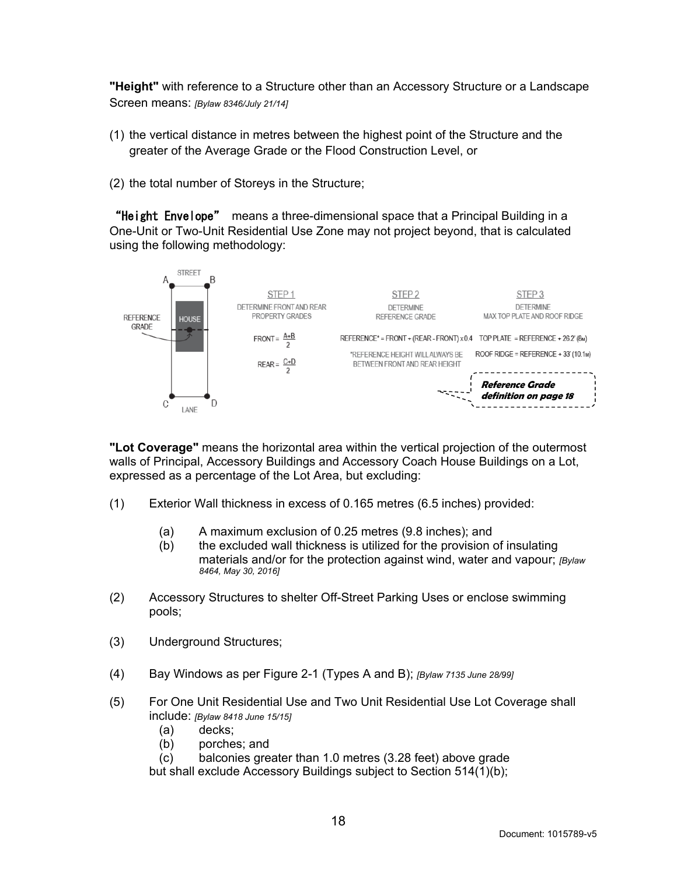**"Height"** with reference to a Structure other than an Accessory Structure or a Landscape Screen means: *[Bylaw 8346/July 21/14]*

- (1) the vertical distance in metres between the highest point of the Structure and the greater of the Average Grade or the Flood Construction Level, or
- (2) the total number of Storeys in the Structure;

"Height Envelope" means a three-dimensional space that a Principal Building in a One-Unit or Two-Unit Residential Use Zone may not project beyond, that is calculated using the following methodology:



**"Lot Coverage"** means the horizontal area within the vertical projection of the outermost walls of Principal, Accessory Buildings and Accessory Coach House Buildings on a Lot, expressed as a percentage of the Lot Area, but excluding:

- (1) Exterior Wall thickness in excess of 0.165 metres (6.5 inches) provided:
	- (a) A maximum exclusion of 0.25 metres (9.8 inches); and
	- (b) the excluded wall thickness is utilized for the provision of insulating materials and/or for the protection against wind, water and vapour; *[Bylaw 8464, May 30, 2016]*
- (2) Accessory Structures to shelter Off-Street Parking Uses or enclose swimming pools;
- (3) Underground Structures;
- (4) Bay Windows as per Figure 2-1 (Types A and B); *[Bylaw 7135 June 28/99]*
- (5) For One Unit Residential Use and Two Unit Residential Use Lot Coverage shall include: *[Bylaw 8418 June 15/15]*
	- (a) decks;
	- (b) porches; and
	- (c) balconies greater than 1.0 metres (3.28 feet) above grade

but shall exclude Accessory Buildings subject to Section 514(1)(b);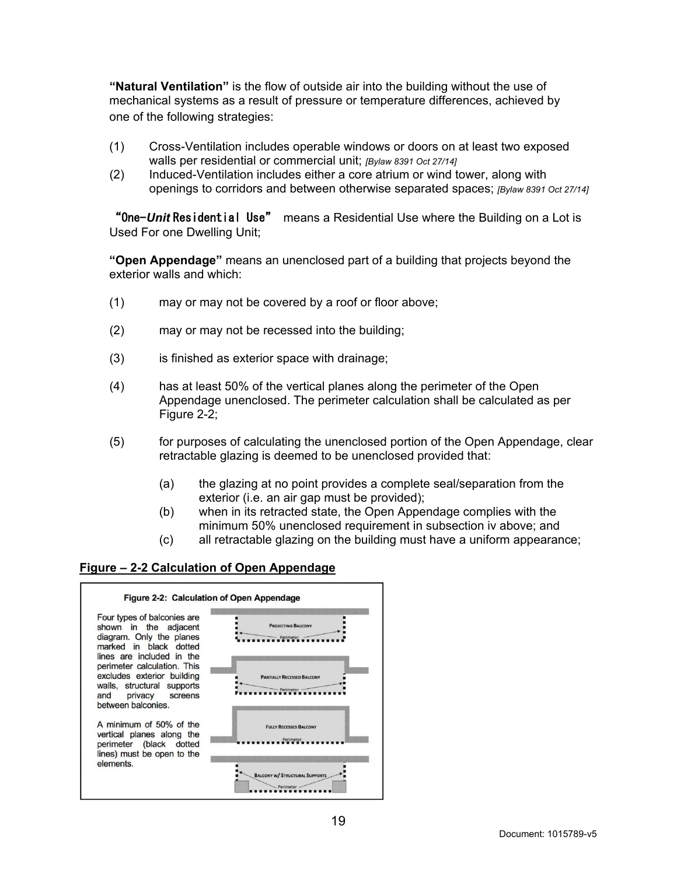**"Natural Ventilation"** is the flow of outside air into the building without the use of mechanical systems as a result of pressure or temperature differences, achieved by one of the following strategies:

- (1) Cross-Ventilation includes operable windows or doors on at least two exposed walls per residential or commercial unit; *[Bylaw 8391 Oct 27/14]*
- (2) Induced-Ventilation includes either a core atrium or wind tower, along with openings to corridors and between otherwise separated spaces; *[Bylaw 8391 Oct 27/14]*

"One-*Unit* Residential Use" means a Residential Use where the Building on a Lot is Used For one Dwelling Unit;

**"Open Appendage"** means an unenclosed part of a building that projects beyond the exterior walls and which:

- (1) may or may not be covered by a roof or floor above;
- (2) may or may not be recessed into the building;
- (3) is finished as exterior space with drainage;
- (4) has at least 50% of the vertical planes along the perimeter of the Open Appendage unenclosed. The perimeter calculation shall be calculated as per Figure 2-2;
- (5) for purposes of calculating the unenclosed portion of the Open Appendage, clear retractable glazing is deemed to be unenclosed provided that:
	- (a) the glazing at no point provides a complete seal/separation from the exterior (i.e. an air gap must be provided);
	- (b) when in its retracted state, the Open Appendage complies with the minimum 50% unenclosed requirement in subsection iv above; and
	- (c) all retractable glazing on the building must have a uniform appearance;

#### **Figure – 2-2 Calculation of Open Appendage**